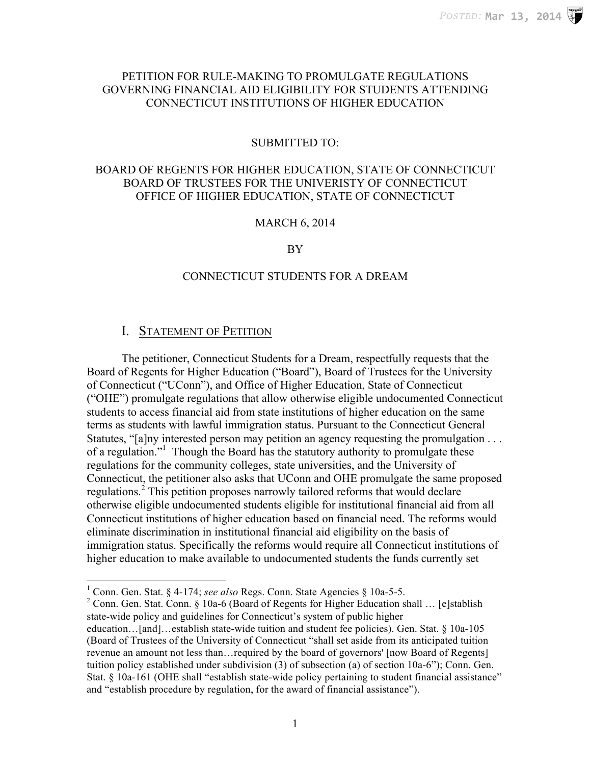## PETITION FOR RULE-MAKING TO PROMULGATE REGULATIONS GOVERNING FINANCIAL AID ELIGIBILITY FOR STUDENTS ATTENDING CONNECTICUT INSTITUTIONS OF HIGHER EDUCATION

#### SUBMITTED TO:

## BOARD OF REGENTS FOR HIGHER EDUCATION, STATE OF CONNECTICUT BOARD OF TRUSTEES FOR THE UNIVERISTY OF CONNECTICUT OFFICE OF HIGHER EDUCATION, STATE OF CONNECTICUT

## MARCH 6, 2014

#### BY

## CONNECTICUT STUDENTS FOR A DREAM

## I. STATEMENT OF PETITION

 

The petitioner, Connecticut Students for a Dream, respectfully requests that the Board of Regents for Higher Education ("Board"), Board of Trustees for the University of Connecticut ("UConn"), and Office of Higher Education, State of Connecticut ("OHE") promulgate regulations that allow otherwise eligible undocumented Connecticut students to access financial aid from state institutions of higher education on the same terms as students with lawful immigration status. Pursuant to the Connecticut General Statutes, "[a]ny interested person may petition an agency requesting the promulgation . . . of a regulation."1 Though the Board has the statutory authority to promulgate these regulations for the community colleges, state universities, and the University of Connecticut, the petitioner also asks that UConn and OHE promulgate the same proposed regulations.<sup>2</sup> This petition proposes narrowly tailored reforms that would declare otherwise eligible undocumented students eligible for institutional financial aid from all Connecticut institutions of higher education based on financial need. The reforms would eliminate discrimination in institutional financial aid eligibility on the basis of immigration status. Specifically the reforms would require all Connecticut institutions of higher education to make available to undocumented students the funds currently set

<sup>1</sup> Conn. Gen. Stat. § 4-174; *see also* Regs. Conn. State Agencies § 10a-5-5.<br><sup>2</sup> Conn. Gen. Stat. Conn. § 10a-6 (Board of Regents for Higher Education shall … [e]stablish state-wide policy and guidelines for Connecticut's system of public higher education…[and]…establish state-wide tuition and student fee policies). Gen. Stat. § 10a-105 (Board of Trustees of the University of Connecticut "shall set aside from its anticipated tuition revenue an amount not less than…required by the board of governors' [now Board of Regents] tuition policy established under subdivision (3) of subsection (a) of section 10a-6"); Conn. Gen. Stat. § 10a-161 (OHE shall "establish state-wide policy pertaining to student financial assistance" and "establish procedure by regulation, for the award of financial assistance").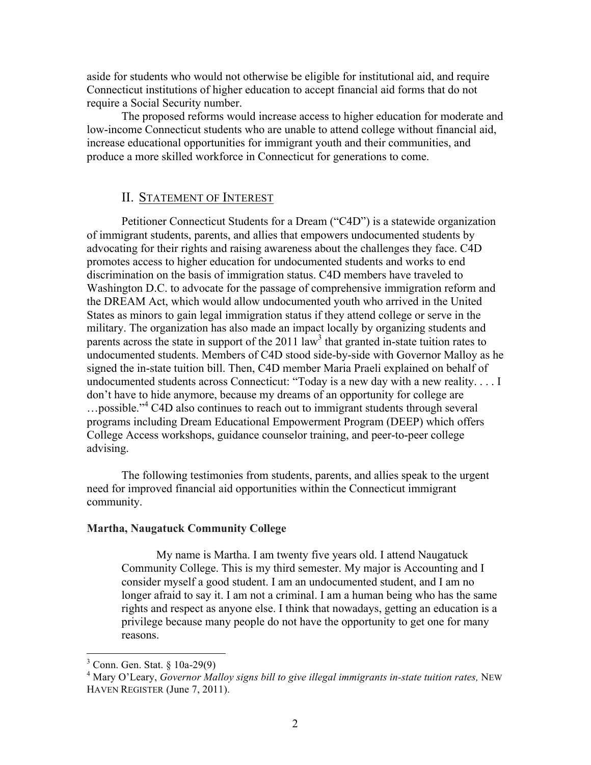aside for students who would not otherwise be eligible for institutional aid, and require Connecticut institutions of higher education to accept financial aid forms that do not require a Social Security number.

The proposed reforms would increase access to higher education for moderate and low-income Connecticut students who are unable to attend college without financial aid, increase educational opportunities for immigrant youth and their communities, and produce a more skilled workforce in Connecticut for generations to come.

## II. STATEMENT OF INTEREST

Petitioner Connecticut Students for a Dream ("C4D") is a statewide organization of immigrant students, parents, and allies that empowers undocumented students by advocating for their rights and raising awareness about the challenges they face. C4D promotes access to higher education for undocumented students and works to end discrimination on the basis of immigration status. C4D members have traveled to Washington D.C. to advocate for the passage of comprehensive immigration reform and the DREAM Act, which would allow undocumented youth who arrived in the United States as minors to gain legal immigration status if they attend college or serve in the military. The organization has also made an impact locally by organizing students and parents across the state in support of the  $2011 \text{ law}^3$  that granted in-state tuition rates to undocumented students. Members of C4D stood side-by-side with Governor Malloy as he signed the in-state tuition bill. Then, C4D member Maria Praeli explained on behalf of undocumented students across Connecticut: "Today is a new day with a new reality. . . . I don't have to hide anymore, because my dreams of an opportunity for college are …possible."<sup>4</sup> C4D also continues to reach out to immigrant students through several programs including Dream Educational Empowerment Program (DEEP) which offers College Access workshops, guidance counselor training, and peer-to-peer college advising.

The following testimonies from students, parents, and allies speak to the urgent need for improved financial aid opportunities within the Connecticut immigrant community.

#### **Martha, Naugatuck Community College**

My name is Martha. I am twenty five years old. I attend Naugatuck Community College. This is my third semester. My major is Accounting and I consider myself a good student. I am an undocumented student, and I am no longer afraid to say it. I am not a criminal. I am a human being who has the same rights and respect as anyone else. I think that nowadays, getting an education is a privilege because many people do not have the opportunity to get one for many reasons.

  $3$  Conn. Gen. Stat.  $\frac{6}{3}$  10a-29(9)

<sup>4</sup> Mary O'Leary, *Governor Malloy signs bill to give illegal immigrants in-state tuition rates,* NEW HAVEN REGISTER (June 7, 2011).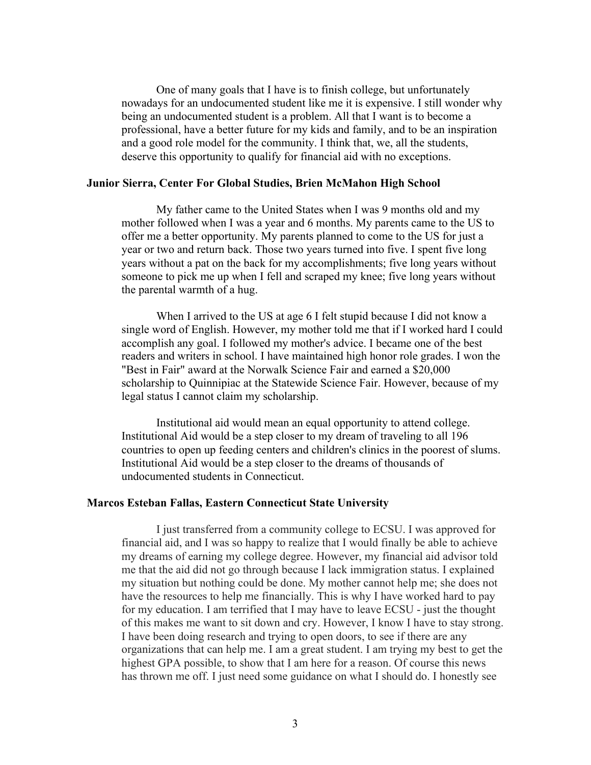One of many goals that I have is to finish college, but unfortunately nowadays for an undocumented student like me it is expensive. I still wonder why being an undocumented student is a problem. All that I want is to become a professional, have a better future for my kids and family, and to be an inspiration and a good role model for the community. I think that, we, all the students, deserve this opportunity to qualify for financial aid with no exceptions.

#### **Junior Sierra, Center For Global Studies, Brien McMahon High School**

My father came to the United States when I was 9 months old and my mother followed when I was a year and 6 months. My parents came to the US to offer me a better opportunity. My parents planned to come to the US for just a year or two and return back. Those two years turned into five. I spent five long years without a pat on the back for my accomplishments; five long years without someone to pick me up when I fell and scraped my knee; five long years without the parental warmth of a hug.

When I arrived to the US at age 6 I felt stupid because I did not know a single word of English. However, my mother told me that if I worked hard I could accomplish any goal. I followed my mother's advice. I became one of the best readers and writers in school. I have maintained high honor role grades. I won the "Best in Fair" award at the Norwalk Science Fair and earned a \$20,000 scholarship to Quinnipiac at the Statewide Science Fair. However, because of my legal status I cannot claim my scholarship.

Institutional aid would mean an equal opportunity to attend college. Institutional Aid would be a step closer to my dream of traveling to all 196 countries to open up feeding centers and children's clinics in the poorest of slums. Institutional Aid would be a step closer to the dreams of thousands of undocumented students in Connecticut.

#### **Marcos Esteban Fallas, Eastern Connecticut State University**

I just transferred from a community college to ECSU. I was approved for financial aid, and I was so happy to realize that I would finally be able to achieve my dreams of earning my college degree. However, my financial aid advisor told me that the aid did not go through because I lack immigration status. I explained my situation but nothing could be done. My mother cannot help me; she does not have the resources to help me financially. This is why I have worked hard to pay for my education. I am terrified that I may have to leave ECSU - just the thought of this makes me want to sit down and cry. However, I know I have to stay strong. I have been doing research and trying to open doors, to see if there are any organizations that can help me. I am a great student. I am trying my best to get the highest GPA possible, to show that I am here for a reason. Of course this news has thrown me off. I just need some guidance on what I should do. I honestly see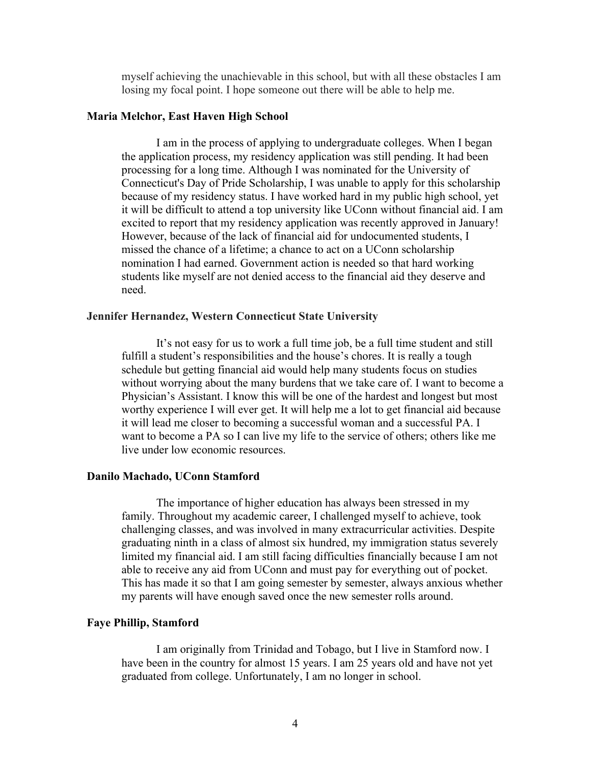myself achieving the unachievable in this school, but with all these obstacles I am losing my focal point. I hope someone out there will be able to help me.

#### **Maria Melchor, East Haven High School**

I am in the process of applying to undergraduate colleges. When I began the application process, my residency application was still pending. It had been processing for a long time. Although I was nominated for the University of Connecticut's Day of Pride Scholarship, I was unable to apply for this scholarship because of my residency status. I have worked hard in my public high school, yet it will be difficult to attend a top university like UConn without financial aid. I am excited to report that my residency application was recently approved in January! However, because of the lack of financial aid for undocumented students, I missed the chance of a lifetime; a chance to act on a UConn scholarship nomination I had earned. Government action is needed so that hard working students like myself are not denied access to the financial aid they deserve and need.

#### **Jennifer Hernandez, Western Connecticut State University**

It's not easy for us to work a full time job, be a full time student and still fulfill a student's responsibilities and the house's chores. It is really a tough schedule but getting financial aid would help many students focus on studies without worrying about the many burdens that we take care of. I want to become a Physician's Assistant. I know this will be one of the hardest and longest but most worthy experience I will ever get. It will help me a lot to get financial aid because it will lead me closer to becoming a successful woman and a successful PA. I want to become a PA so I can live my life to the service of others; others like me live under low economic resources.

#### **Danilo Machado, UConn Stamford**

The importance of higher education has always been stressed in my family. Throughout my academic career, I challenged myself to achieve, took challenging classes, and was involved in many extracurricular activities. Despite graduating ninth in a class of almost six hundred, my immigration status severely limited my financial aid. I am still facing difficulties financially because I am not able to receive any aid from UConn and must pay for everything out of pocket. This has made it so that I am going semester by semester, always anxious whether my parents will have enough saved once the new semester rolls around.

## **Faye Phillip, Stamford**

I am originally from Trinidad and Tobago, but I live in Stamford now. I have been in the country for almost 15 years. I am 25 years old and have not yet graduated from college. Unfortunately, I am no longer in school.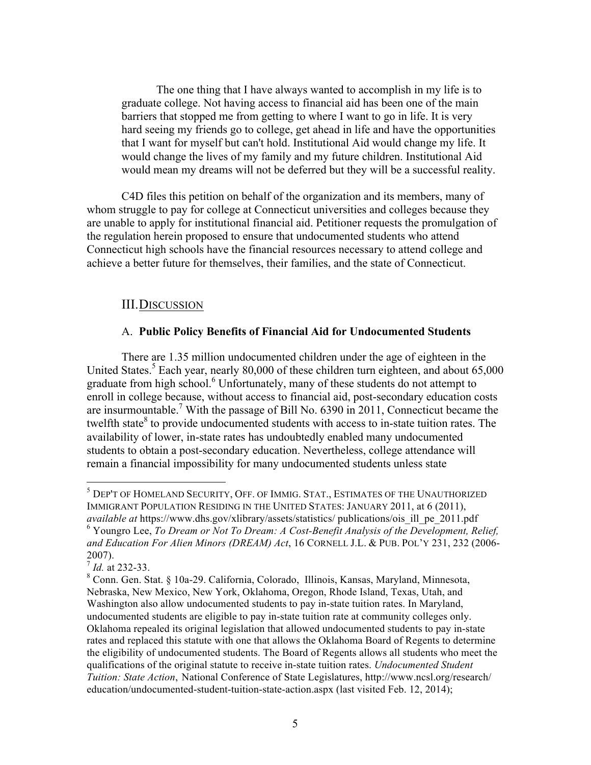The one thing that I have always wanted to accomplish in my life is to graduate college. Not having access to financial aid has been one of the main barriers that stopped me from getting to where I want to go in life. It is very hard seeing my friends go to college, get ahead in life and have the opportunities that I want for myself but can't hold. Institutional Aid would change my life. It would change the lives of my family and my future children. Institutional Aid would mean my dreams will not be deferred but they will be a successful reality.

C4D files this petition on behalf of the organization and its members, many of whom struggle to pay for college at Connecticut universities and colleges because they are unable to apply for institutional financial aid. Petitioner requests the promulgation of the regulation herein proposed to ensure that undocumented students who attend Connecticut high schools have the financial resources necessary to attend college and achieve a better future for themselves, their families, and the state of Connecticut.

## III.DISCUSSION

 

## A. **Public Policy Benefits of Financial Aid for Undocumented Students**

There are 1.35 million undocumented children under the age of eighteen in the United States.<sup>5</sup> Each year, nearly 80,000 of these children turn eighteen, and about 65,000 graduate from high school.<sup>6</sup> Unfortunately, many of these students do not attempt to enroll in college because, without access to financial aid, post-secondary education costs are insurmountable.<sup>7</sup> With the passage of Bill No. 6390 in 2011, Connecticut became the twelfth state $8$  to provide undocumented students with access to in-state tuition rates. The availability of lower, in-state rates has undoubtedly enabled many undocumented students to obtain a post-secondary education. Nevertheless, college attendance will remain a financial impossibility for many undocumented students unless state

<sup>&</sup>lt;sup>5</sup> DEP'T OF HOMELAND SECURITY, OFF. OF IMMIG. STAT., ESTIMATES OF THE UNAUTHORIZED IMMIGRANT POPULATION RESIDING IN THE UNITED STATES: JANUARY 2011, at 6 (2011), *available at* https://www.dhs.gov/xlibrary/assets/statistics/ publications/ois\_ill\_pe\_2011.pdf

<sup>6</sup> Youngro Lee, *To Dream or Not To Dream: A Cost-Benefit Analysis of the Development, Relief, and Education For Alien Minors (DREAM) Act*, 16 CORNELL J.L. & PUB. POL'Y 231, 232 (2006- 2007).

 $\frac{7}{7}$  *Id.* at 232-33.

<sup>8</sup> Conn. Gen. Stat. § 10a-29. California, Colorado, Illinois, Kansas, Maryland, Minnesota, Nebraska, New Mexico, New York, Oklahoma, Oregon, Rhode Island, Texas, Utah, and Washington also allow undocumented students to pay in-state tuition rates. In Maryland, undocumented students are eligible to pay in-state tuition rate at community colleges only. Oklahoma repealed its original legislation that allowed undocumented students to pay in-state rates and replaced this statute with one that allows the Oklahoma Board of Regents to determine the eligibility of undocumented students. The Board of Regents allows all students who meet the qualifications of the original statute to receive in-state tuition rates. *Undocumented Student Tuition: State Action*, National Conference of State Legislatures, http://www.ncsl.org/research/ education/undocumented-student-tuition-state-action.aspx (last visited Feb. 12, 2014);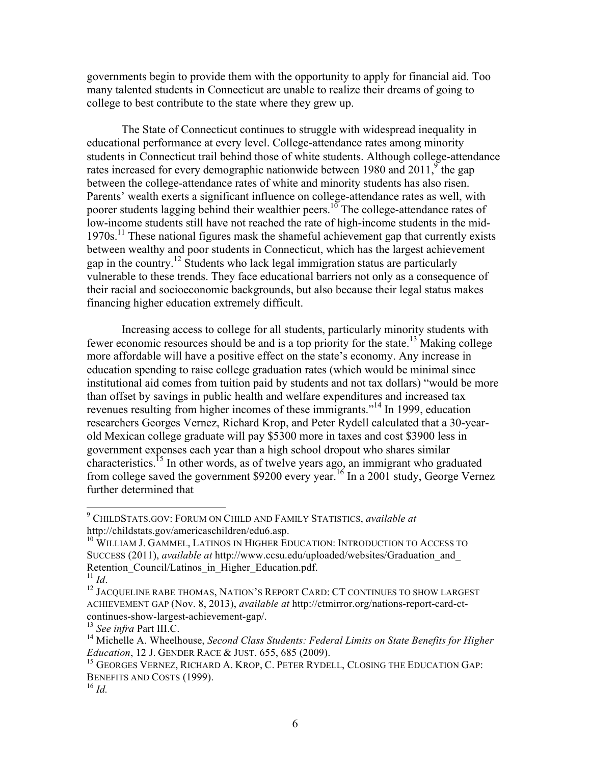governments begin to provide them with the opportunity to apply for financial aid. Too many talented students in Connecticut are unable to realize their dreams of going to college to best contribute to the state where they grew up.

The State of Connecticut continues to struggle with widespread inequality in educational performance at every level. College-attendance rates among minority students in Connecticut trail behind those of white students. Although college-attendance rates increased for every demographic nationwide between 1980 and 2011,  $\frac{9}{9}$  the gap between the college-attendance rates of white and minority students has also risen. Parents' wealth exerts a significant influence on college-attendance rates as well, with poorer students lagging behind their wealthier peers.<sup>10</sup> The college-attendance rates of low-income students still have not reached the rate of high-income students in the mid- $1970s$ <sup>11</sup>. These national figures mask the shameful achievement gap that currently exists between wealthy and poor students in Connecticut, which has the largest achievement gap in the country.<sup>12</sup> Students who lack legal immigration status are particularly vulnerable to these trends. They face educational barriers not only as a consequence of their racial and socioeconomic backgrounds, but also because their legal status makes financing higher education extremely difficult.

Increasing access to college for all students, particularly minority students with fewer economic resources should be and is a top priority for the state.<sup>13</sup> Making college more affordable will have a positive effect on the state's economy. Any increase in education spending to raise college graduation rates (which would be minimal since institutional aid comes from tuition paid by students and not tax dollars) "would be more than offset by savings in public health and welfare expenditures and increased tax revenues resulting from higher incomes of these immigrants."<sup>14</sup> In 1999, education researchers Georges Vernez, Richard Krop, and Peter Rydell calculated that a 30-yearold Mexican college graduate will pay \$5300 more in taxes and cost \$3900 less in government expenses each year than a high school dropout who shares similar characteristics.15 In other words, as of twelve years ago, an immigrant who graduated from college saved the government \$9200 every year.16 In a 2001 study, George Vernez further determined that

 <sup>9</sup> CHILDSTATS.GOV: FORUM ON CHILD AND FAMILY STATISTICS, *available at*  http://childstats.gov/americaschildren/edu6.asp.

<sup>&</sup>lt;sup>10</sup> WILLIAM J. GAMMEL, LATINOS IN HIGHER EDUCATION: INTRODUCTION TO ACCESS TO SUCCESS (2011), *available at* http://www.ccsu.edu/uploaded/websites/Graduation\_and\_ Retention\_Council/Latinos\_in\_Higher\_Education.pdf.<br>
<sup>11</sup> Id

<sup>&</sup>lt;sup>12</sup> JACOUELINE RABE THOMAS, NATION'S REPORT CARD: CT CONTINUES TO SHOW LARGEST ACHIEVEMENT GAP (Nov. 8, 2013), *available at* http://ctmirror.org/nations-report-card-ctcontinues-show-largest-achievement-gap/.

<sup>13</sup> *See infra* Part III.C.

<sup>&</sup>lt;sup>14</sup> Michelle A. Wheelhouse, *Second Class Students: Federal Limits on State Benefits for Higher Education*, 12 J. GENDER RACE & JUST. 655, 685 (2009).

<sup>&</sup>lt;sup>15</sup> GEORGES VERNEZ, RICHARD A. KROP, C. PETER RYDELL, CLOSING THE EDUCATION GAP: BENEFITS AND COSTS (1999).

<sup>16</sup> *Id.*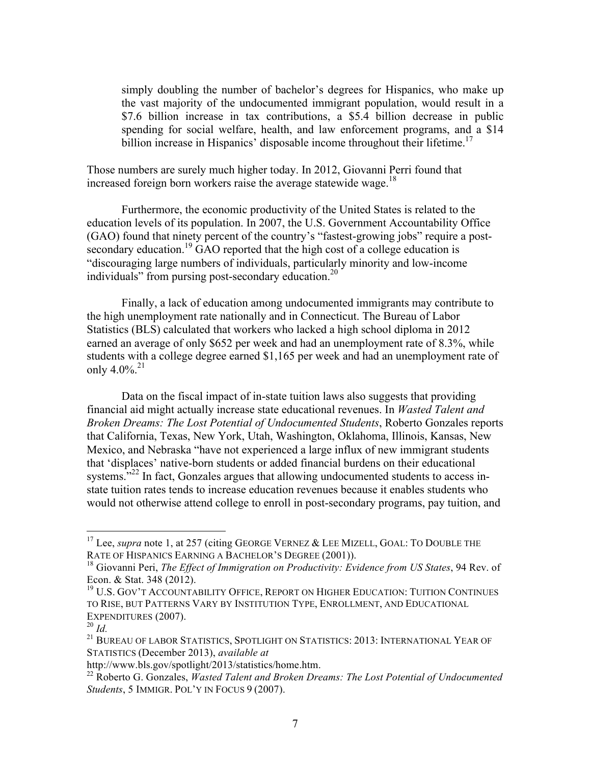simply doubling the number of bachelor's degrees for Hispanics, who make up the vast majority of the undocumented immigrant population, would result in a \$7.6 billion increase in tax contributions, a \$5.4 billion decrease in public spending for social welfare, health, and law enforcement programs, and a \$14 billion increase in Hispanics' disposable income throughout their lifetime.<sup>17</sup>

Those numbers are surely much higher today. In 2012, Giovanni Perri found that increased foreign born workers raise the average statewide wage.<sup>18</sup>

Furthermore, the economic productivity of the United States is related to the education levels of its population. In 2007, the U.S. Government Accountability Office (GAO) found that ninety percent of the country's "fastest-growing jobs" require a postsecondary education.<sup>19</sup> GAO reported that the high cost of a college education is "discouraging large numbers of individuals, particularly minority and low-income individuals" from pursing post-secondary education.<sup>20</sup>

Finally, a lack of education among undocumented immigrants may contribute to the high unemployment rate nationally and in Connecticut. The Bureau of Labor Statistics (BLS) calculated that workers who lacked a high school diploma in 2012 earned an average of only \$652 per week and had an unemployment rate of 8.3%, while students with a college degree earned \$1,165 per week and had an unemployment rate of only  $4.0\%$ <sup>21</sup>

Data on the fiscal impact of in-state tuition laws also suggests that providing financial aid might actually increase state educational revenues. In *Wasted Talent and Broken Dreams: The Lost Potential of Undocumented Students*, Roberto Gonzales reports that California, Texas, New York, Utah, Washington, Oklahoma, Illinois, Kansas, New Mexico, and Nebraska "have not experienced a large influx of new immigrant students that 'displaces' native-born students or added financial burdens on their educational systems."<sup>22</sup> In fact, Gonzales argues that allowing undocumented students to access instate tuition rates tends to increase education revenues because it enables students who would not otherwise attend college to enroll in post-secondary programs, pay tuition, and

 

<sup>&</sup>lt;sup>17</sup> Lee, *supra* note 1, at 257 (citing GEORGE VERNEZ & LEE MIZELL, GOAL: TO DOUBLE THE RATE OF HISPANICS EARNING A BACHELOR'S DEGREE (2001)).

<sup>18</sup> Giovanni Peri, *The Effect of Immigration on Productivity: Evidence from US States*, 94 Rev. of Econ. & Stat. 348 (2012).

<sup>&</sup>lt;sup>19</sup> U.S. GOV'T ACCOUNTABILITY OFFICE. REPORT ON HIGHER EDUCATION: TUITION CONTINUES TO RISE, BUT PATTERNS VARY BY INSTITUTION TYPE, ENROLLMENT, AND EDUCATIONAL EXPENDITURES (2007).

 $^{20}$  *Id*.

<sup>&</sup>lt;sup>21</sup> BUREAU OF LABOR STATISTICS, SPOTLIGHT ON STATISTICS: 2013: INTERNATIONAL YEAR OF STATISTICS (December 2013), *available at* 

http://www.bls.gov/spotlight/2013/statistics/home.htm.

<sup>22</sup> Roberto G. Gonzales, *Wasted Talent and Broken Dreams: The Lost Potential of Undocumented Students*, 5 IMMIGR. POL'Y IN FOCUS 9 (2007).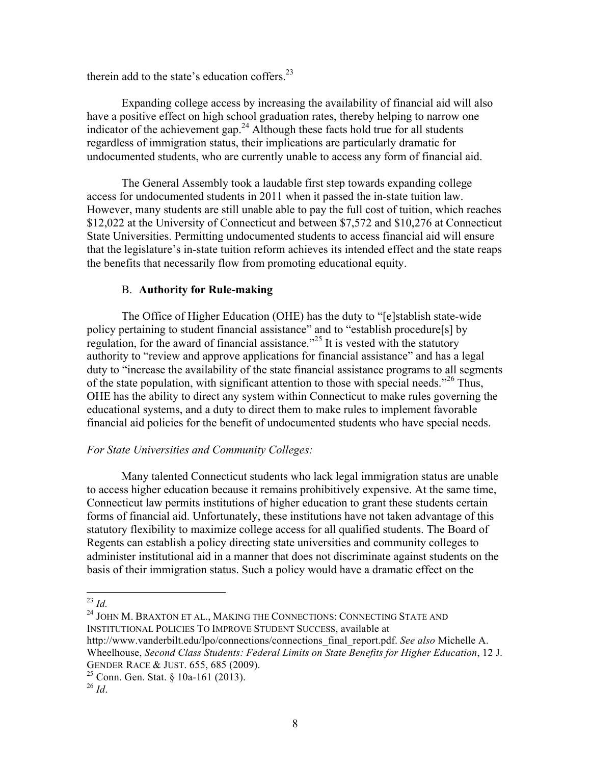therein add to the state's education coffers.<sup>23</sup>

Expanding college access by increasing the availability of financial aid will also have a positive effect on high school graduation rates, thereby helping to narrow one indicator of the achievement gap.<sup>24</sup> Although these facts hold true for all students regardless of immigration status, their implications are particularly dramatic for undocumented students, who are currently unable to access any form of financial aid.

The General Assembly took a laudable first step towards expanding college access for undocumented students in 2011 when it passed the in-state tuition law. However, many students are still unable able to pay the full cost of tuition, which reaches \$12,022 at the University of Connecticut and between \$7,572 and \$10,276 at Connecticut State Universities. Permitting undocumented students to access financial aid will ensure that the legislature's in-state tuition reform achieves its intended effect and the state reaps the benefits that necessarily flow from promoting educational equity.

## B. **Authority for Rule-making**

The Office of Higher Education (OHE) has the duty to "[e]stablish state-wide policy pertaining to student financial assistance" and to "establish procedure[s] by regulation, for the award of financial assistance.<sup> $25$ </sup> It is vested with the statutory authority to "review and approve applications for financial assistance" and has a legal duty to "increase the availability of the state financial assistance programs to all segments of the state population, with significant attention to those with special needs."<sup>26</sup> Thus, OHE has the ability to direct any system within Connecticut to make rules governing the educational systems, and a duty to direct them to make rules to implement favorable financial aid policies for the benefit of undocumented students who have special needs.

## *For State Universities and Community Colleges:*

Many talented Connecticut students who lack legal immigration status are unable to access higher education because it remains prohibitively expensive. At the same time, Connecticut law permits institutions of higher education to grant these students certain forms of financial aid. Unfortunately, these institutions have not taken advantage of this statutory flexibility to maximize college access for all qualified students. The Board of Regents can establish a policy directing state universities and community colleges to administer institutional aid in a manner that does not discriminate against students on the basis of their immigration status. Such a policy would have a dramatic effect on the

<sup>24</sup> JOHN M. BRAXTON ET AL., MAKING THE CONNECTIONS: CONNECTING STATE AND INSTITUTIONAL POLICIES TO IMPROVE STUDENT SUCCESS, available at http://www.vanderbilt.edu/lpo/connections/connections\_final\_report.pdf. *See also* Michelle A.

 <sup>23</sup> *Id.*

Wheelhouse, *Second Class Students: Federal Limits on State Benefits for Higher Education*, 12 J. GENDER RACE & JUST. 655, 685 (2009).

 $^{25}$  Conn. Gen. Stat. § 10a-161 (2013).

<sup>26</sup> *Id*.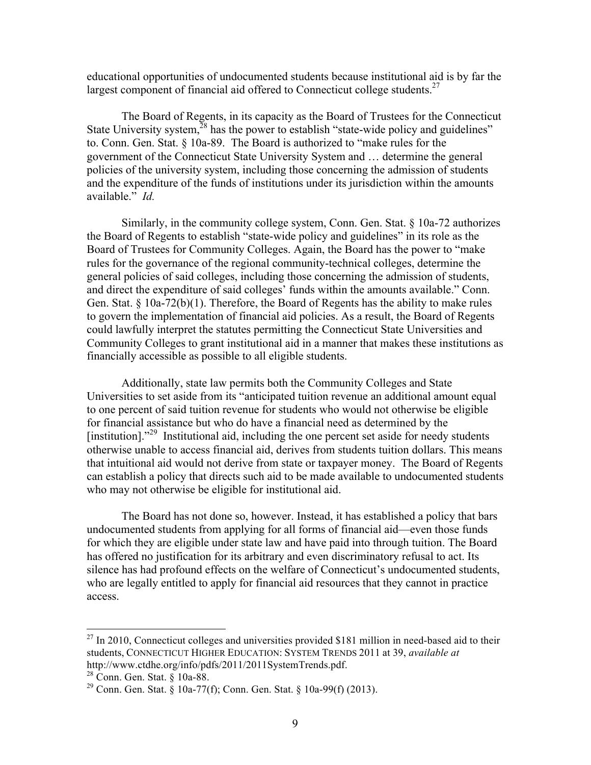educational opportunities of undocumented students because institutional aid is by far the largest component of financial aid offered to Connecticut college students.<sup>27</sup>

The Board of Regents, in its capacity as the Board of Trustees for the Connecticut State University system,  $^{28}$  has the power to establish "state-wide policy and guidelines" to. Conn. Gen. Stat. § 10a-89. The Board is authorized to "make rules for the government of the Connecticut State University System and … determine the general policies of the university system, including those concerning the admission of students and the expenditure of the funds of institutions under its jurisdiction within the amounts available." *Id.*

Similarly, in the community college system, Conn. Gen. Stat. § 10a-72 authorizes the Board of Regents to establish "state-wide policy and guidelines" in its role as the Board of Trustees for Community Colleges. Again, the Board has the power to "make rules for the governance of the regional community-technical colleges, determine the general policies of said colleges, including those concerning the admission of students, and direct the expenditure of said colleges' funds within the amounts available." Conn. Gen. Stat. § 10a-72(b)(1). Therefore, the Board of Regents has the ability to make rules to govern the implementation of financial aid policies. As a result, the Board of Regents could lawfully interpret the statutes permitting the Connecticut State Universities and Community Colleges to grant institutional aid in a manner that makes these institutions as financially accessible as possible to all eligible students.

Additionally, state law permits both the Community Colleges and State Universities to set aside from its "anticipated tuition revenue an additional amount equal to one percent of said tuition revenue for students who would not otherwise be eligible for financial assistance but who do have a financial need as determined by the [institution]. $1^{29}$  Institutional aid, including the one percent set aside for needy students otherwise unable to access financial aid, derives from students tuition dollars. This means that intuitional aid would not derive from state or taxpayer money. The Board of Regents can establish a policy that directs such aid to be made available to undocumented students who may not otherwise be eligible for institutional aid.

The Board has not done so, however. Instead, it has established a policy that bars undocumented students from applying for all forms of financial aid—even those funds for which they are eligible under state law and have paid into through tuition. The Board has offered no justification for its arbitrary and even discriminatory refusal to act. Its silence has had profound effects on the welfare of Connecticut's undocumented students, who are legally entitled to apply for financial aid resources that they cannot in practice access.

 $27$  In 2010, Connecticut colleges and universities provided \$181 million in need-based aid to their students, CONNECTICUT HIGHER EDUCATION: SYSTEM TRENDS 2011 at 39, *available at* http://www.ctdhe.org/info/pdfs/2011/2011SystemTrends.pdf.

<sup>28</sup> Conn. Gen. Stat. § 10a-88.

<sup>&</sup>lt;sup>29</sup> Conn. Gen. Stat. § 10a-77(f); Conn. Gen. Stat. § 10a-99(f) (2013).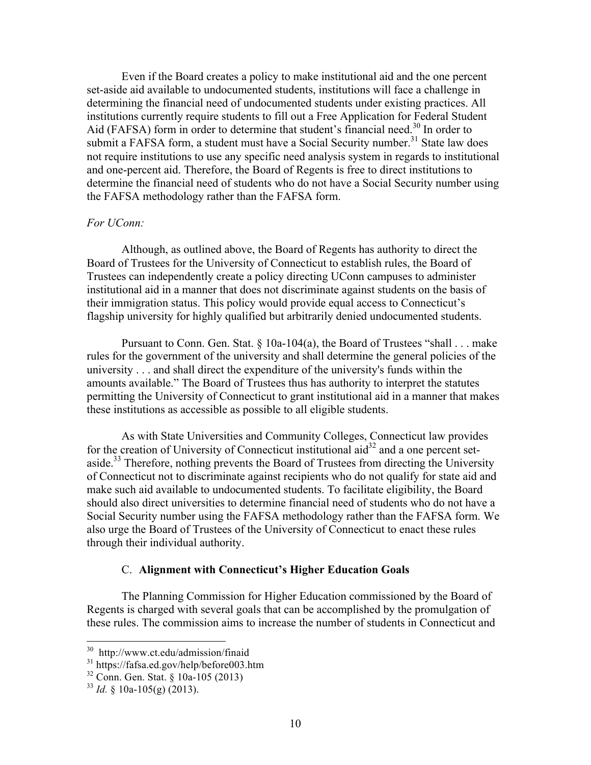Even if the Board creates a policy to make institutional aid and the one percent set-aside aid available to undocumented students, institutions will face a challenge in determining the financial need of undocumented students under existing practices. All institutions currently require students to fill out a Free Application for Federal Student Aid (FAFSA) form in order to determine that student's financial need.<sup>30</sup> In order to submit a FAFSA form, a student must have a Social Security number.<sup>31</sup> State law does not require institutions to use any specific need analysis system in regards to institutional and one-percent aid. Therefore, the Board of Regents is free to direct institutions to determine the financial need of students who do not have a Social Security number using the FAFSA methodology rather than the FAFSA form.

## *For UConn:*

Although, as outlined above, the Board of Regents has authority to direct the Board of Trustees for the University of Connecticut to establish rules, the Board of Trustees can independently create a policy directing UConn campuses to administer institutional aid in a manner that does not discriminate against students on the basis of their immigration status. This policy would provide equal access to Connecticut's flagship university for highly qualified but arbitrarily denied undocumented students.

Pursuant to Conn. Gen. Stat. § 10a-104(a), the Board of Trustees "shall . . . make rules for the government of the university and shall determine the general policies of the university . . . and shall direct the expenditure of the university's funds within the amounts available." The Board of Trustees thus has authority to interpret the statutes permitting the University of Connecticut to grant institutional aid in a manner that makes these institutions as accessible as possible to all eligible students.

As with State Universities and Community Colleges, Connecticut law provides for the creation of University of Connecticut institutional  $\text{aid}^{32}$  and a one percent setaside.<sup>33</sup> Therefore, nothing prevents the Board of Trustees from directing the University of Connecticut not to discriminate against recipients who do not qualify for state aid and make such aid available to undocumented students. To facilitate eligibility, the Board should also direct universities to determine financial need of students who do not have a Social Security number using the FAFSA methodology rather than the FAFSA form. We also urge the Board of Trustees of the University of Connecticut to enact these rules through their individual authority.

## C. **Alignment with Connecticut's Higher Education Goals**

The Planning Commission for Higher Education commissioned by the Board of Regents is charged with several goals that can be accomplished by the promulgation of these rules. The commission aims to increase the number of students in Connecticut and

 30 http://www.ct.edu/admission/finaid

<sup>&</sup>lt;sup>31</sup> https://fafsa.ed.gov/help/before003.htm

<sup>32</sup> Conn. Gen. Stat. § 10a-105 (2013)

 $^{33}$  *Id.* § 10a-105(g) (2013).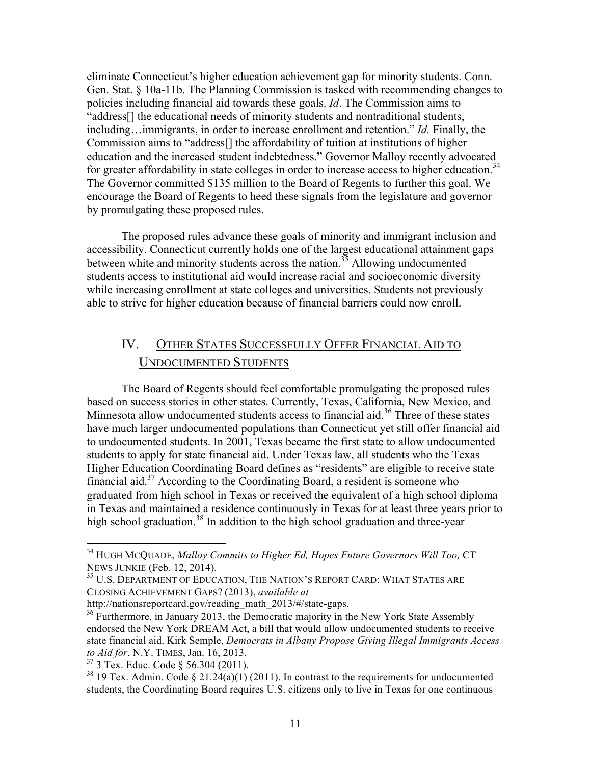eliminate Connecticut's higher education achievement gap for minority students. Conn. Gen. Stat. § 10a-11b. The Planning Commission is tasked with recommending changes to policies including financial aid towards these goals. *Id*. The Commission aims to "address[] the educational needs of minority students and nontraditional students, including…immigrants, in order to increase enrollment and retention." *Id.* Finally, the Commission aims to "address[] the affordability of tuition at institutions of higher education and the increased student indebtedness." Governor Malloy recently advocated for greater affordability in state colleges in order to increase access to higher education.<sup>34</sup> The Governor committed \$135 million to the Board of Regents to further this goal. We encourage the Board of Regents to heed these signals from the legislature and governor by promulgating these proposed rules.

The proposed rules advance these goals of minority and immigrant inclusion and accessibility. Connecticut currently holds one of the largest educational attainment gaps between white and minority students across the nation.<sup>35</sup> Allowing undocumented students access to institutional aid would increase racial and socioeconomic diversity while increasing enrollment at state colleges and universities. Students not previously able to strive for higher education because of financial barriers could now enroll.

# IV. OTHER STATES SUCCESSFULLY OFFER FINANCIAL AID TO UNDOCUMENTED STUDENTS

The Board of Regents should feel comfortable promulgating the proposed rules based on success stories in other states. Currently, Texas, California, New Mexico, and Minnesota allow undocumented students access to financial aid.<sup>36</sup> Three of these states have much larger undocumented populations than Connecticut yet still offer financial aid to undocumented students. In 2001, Texas became the first state to allow undocumented students to apply for state financial aid. Under Texas law, all students who the Texas Higher Education Coordinating Board defines as "residents" are eligible to receive state financial aid.<sup>37</sup> According to the Coordinating Board, a resident is someone who graduated from high school in Texas or received the equivalent of a high school diploma in Texas and maintained a residence continuously in Texas for at least three years prior to high school graduation.<sup>38</sup> In addition to the high school graduation and three-year

 

<sup>34</sup> HUGH MCQUADE, *Malloy Commits to Higher Ed, Hopes Future Governors Will Too,* CT NEWS JUNKIE (Feb. 12, 2014).

<sup>&</sup>lt;sup>35</sup> U.S. DEPARTMENT OF EDUCATION, THE NATION'S REPORT CARD: WHAT STATES ARE CLOSING ACHIEVEMENT GAPS? (2013), *available at* 

http://nationsreportcard.gov/reading\_math\_2013/#/state-gaps.<br><sup>36</sup> Furthermore, in January 2013, the Democratic majority in the New York State Assembly endorsed the New York DREAM Act, a bill that would allow undocumented students to receive state financial aid. Kirk Semple, *Democrats in Albany Propose Giving Illegal Immigrants Access to Aid for*, N.Y. TIMES, Jan. 16, 2013.

 $37$  3 Tex. Educ. Code § 56.304 (2011).

<sup>&</sup>lt;sup>38</sup> 19 Tex. Admin. Code § 21.24(a)(1) (2011). In contrast to the requirements for undocumented students, the Coordinating Board requires U.S. citizens only to live in Texas for one continuous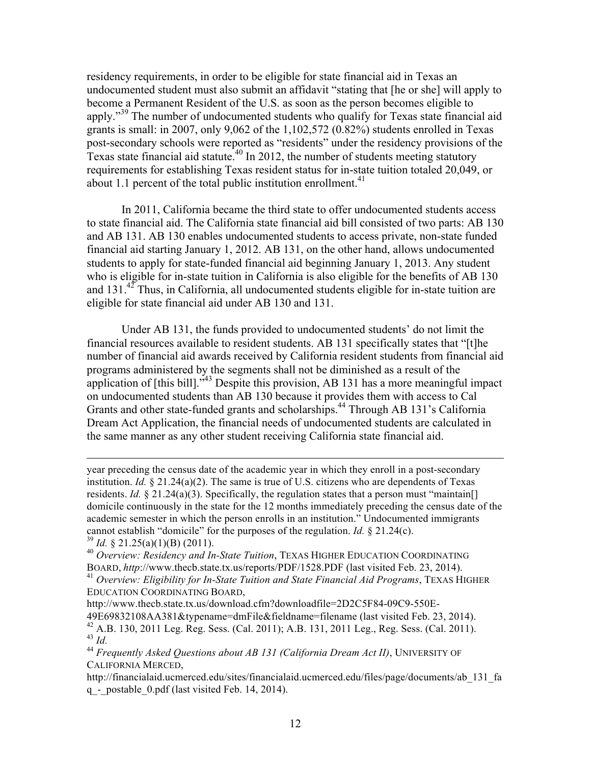residency requirements, in order to be eligible for state financial aid in Texas an undocumented student must also submit an affidavit "stating that [he or she] will apply to become a Permanent Resident of the U.S. as soon as the person becomes eligible to apply."<sup>39</sup> The number of undocumented students who qualify for Texas state financial aid grants is small: in 2007, only 9,062 of the 1,102,572 (0.82%) students enrolled in Texas post-secondary schools were reported as "residents" under the residency provisions of the Texas state financial aid statute.<sup>40</sup> In 2012, the number of students meeting statutory requirements for establishing Texas resident status for in-state tuition totaled 20,049, or about 1.1 percent of the total public institution enrollment. $41$ 

In 2011, California became the third state to offer undocumented students access to state financial aid. The California state financial aid bill consisted of two parts: AB 130 and AB 131. AB 130 enables undocumented students to access private, non-state funded financial aid starting January 1, 2012. AB 131, on the other hand, allows undocumented students to apply for state-funded financial aid beginning January 1, 2013. Any student who is eligible for in-state tuition in California is also eligible for the benefits of AB 130 and  $131<sup>42</sup>$  Thus, in California, all undocumented students eligible for in-state tuition are eligible for state financial aid under AB 130 and 131.

Under AB 131, the funds provided to undocumented students' do not limit the financial resources available to resident students. AB 131 specifically states that "[t]he number of financial aid awards received by California resident students from financial aid programs administered by the segments shall not be diminished as a result of the application of [this bill].<sup>343</sup> Despite this provision, AB 131 has a more meaningful impact on undocumented students than AB 130 because it provides them with access to Cal Grants and other state-funded grants and scholarships.<sup>44</sup> Through AB 131's California Dream Act Application, the financial needs of undocumented students are calculated in the same manner as any other student receiving California state financial aid.

<u> 1989 - Andrea Santa Andrea Andrea Andrea Andrea Andrea Andrea Andrea Andrea Andrea Andrea Andrea Andrea Andr</u>

<sup>41</sup> *Overview: Eligibility for In-State Tuition and State Financial Aid Programs*, TEXAS HIGHER EDUCATION COORDINATING BOARD,

http://www.thecb.state.tx.us/download.cfm?downloadfile=2D2C5F84-09C9-550E-49E69832108AA381&typename=dmFile&fieldname=filename (last visited Feb. 23, 2014). <sup>42</sup> A.B. 130, 2011 Leg. Reg. Sess. (Cal. 2011); A.B. 131, 2011 Leg., Reg. Sess. (Cal. 2011). <sup>43</sup> *Id.*

year preceding the census date of the academic year in which they enroll in a post-secondary institution. *Id.* § 21.24(a)(2). The same is true of U.S. citizens who are dependents of Texas residents. *Id.* § 21.24(a)(3). Specifically, the regulation states that a person must "maintain[] domicile continuously in the state for the 12 months immediately preceding the census date of the academic semester in which the person enrolls in an institution." Undocumented immigrants cannot establish "domicile" for the purposes of the regulation. *Id.* § 21.24(c).

 $39$  *Id.* § 21.25(a)(1)(B) (2011).

<sup>40</sup> *Overview: Residency and In-State Tuition*, TEXAS HIGHER EDUCATION COORDINATING BOARD, *http*://www.thecb.state.tx.us/reports/PDF/1528.PDF (last visited Feb. 23, 2014).

<sup>44</sup> *Frequently Asked Questions about AB 131 (California Dream Act II)*, UNIVERSITY OF CALIFORNIA MERCED,

http://financialaid.ucmerced.edu/sites/financialaid.ucmerced.edu/files/page/documents/ab\_131\_fa q\_-\_postable\_0.pdf (last visited Feb. 14, 2014).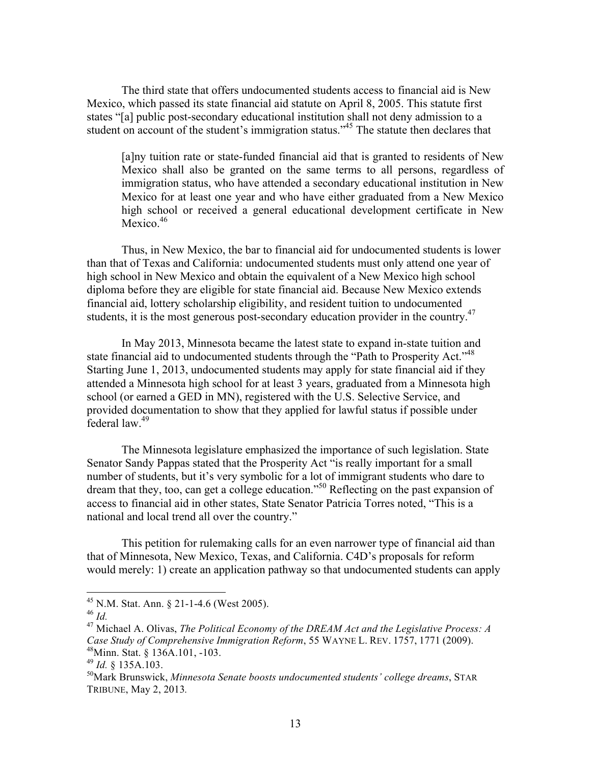The third state that offers undocumented students access to financial aid is New Mexico, which passed its state financial aid statute on April 8, 2005. This statute first states "[a] public post-secondary educational institution shall not deny admission to a student on account of the student's immigration status."<sup>45</sup> The statute then declares that

[a]ny tuition rate or state-funded financial aid that is granted to residents of New Mexico shall also be granted on the same terms to all persons, regardless of immigration status, who have attended a secondary educational institution in New Mexico for at least one year and who have either graduated from a New Mexico high school or received a general educational development certificate in New Mexico.<sup>46</sup>

Thus, in New Mexico, the bar to financial aid for undocumented students is lower than that of Texas and California: undocumented students must only attend one year of high school in New Mexico and obtain the equivalent of a New Mexico high school diploma before they are eligible for state financial aid. Because New Mexico extends financial aid, lottery scholarship eligibility, and resident tuition to undocumented students, it is the most generous post-secondary education provider in the country.<sup>47</sup>

In May 2013, Minnesota became the latest state to expand in-state tuition and state financial aid to undocumented students through the "Path to Prosperity Act."<sup>48</sup> Starting June 1, 2013, undocumented students may apply for state financial aid if they attended a Minnesota high school for at least 3 years, graduated from a Minnesota high school (or earned a GED in MN), registered with the U.S. Selective Service, and provided documentation to show that they applied for lawful status if possible under federal law.<sup>49</sup>

The Minnesota legislature emphasized the importance of such legislation. State Senator Sandy Pappas stated that the Prosperity Act "is really important for a small number of students, but it's very symbolic for a lot of immigrant students who dare to dream that they, too, can get a college education."<sup>50</sup> Reflecting on the past expansion of access to financial aid in other states, State Senator Patricia Torres noted, "This is a national and local trend all over the country."

This petition for rulemaking calls for an even narrower type of financial aid than that of Minnesota, New Mexico, Texas, and California. C4D's proposals for reform would merely: 1) create an application pathway so that undocumented students can apply

 <sup>45</sup> N.M. Stat. Ann. § 21-1-4.6 (West 2005).

<sup>46</sup> *Id.*

<sup>47</sup> Michael A. Olivas, *The Political Economy of the DREAM Act and the Legislative Process: A Case Study of Comprehensive Immigration Reform*, 55 WAYNE L. REV. 1757, 1771 (2009). 48Minn. Stat. § 136A.101, -103.

<sup>49</sup> *Id.* § 135A.103.

<sup>50</sup>Mark Brunswick, *Minnesota Senate boosts undocumented students' college dreams*, STAR TRIBUNE, May 2, 2013*.*